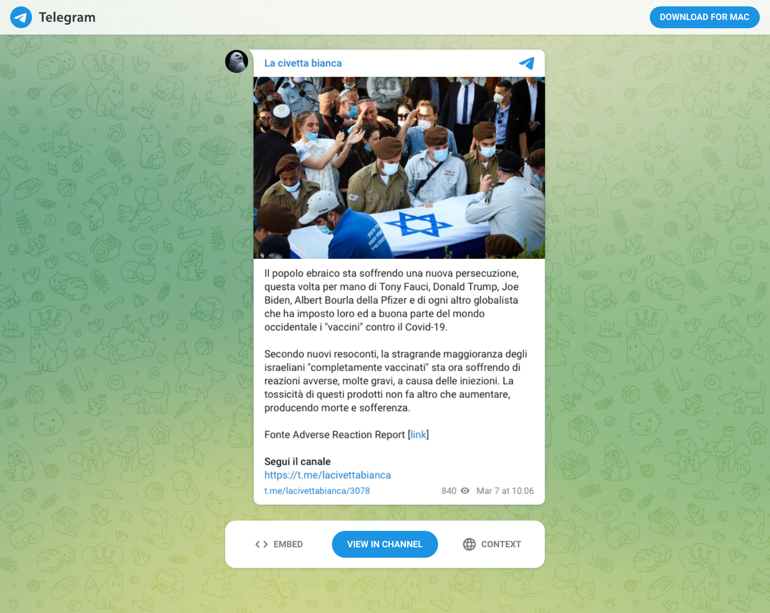## La civetta bianca



Il popolo ebraico sta soffrendo una nuova persecuzione, questa volta per mano di Tony Fauci, Donald Trump, Joe Biden, Albert Bourla della Pfizer e di ogni altro globalista che ha imposto loro ed a buona parte del mondo occidentale i "vaccini" contro il Covid-19.

Secondo nuovi resoconti, la stragrande maggioranza degli israeliani "completamente vaccinati" sta ora soffrendo di reazioni avverse, molte gravi, a causa delle iniezioni. La tossicità di questi prodotti non fa altro che aumentare, producendo morte e sofferenza.

Fonte Adverse Reaction Report [link]

Segui il canale https://t.me/lacivettabianca t.me/lacivettabianca/3078

840 @ Mar 7 at 10:06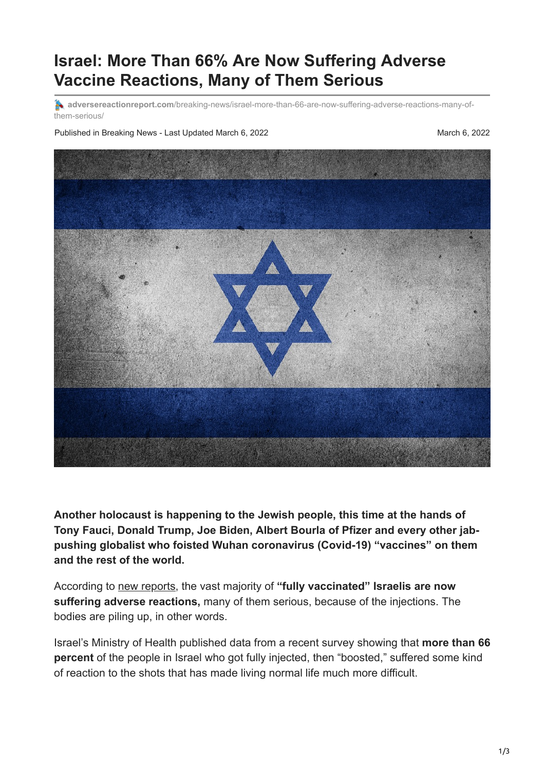## **Israel: More Than 66% Are Now Suffering Adverse Vaccine Reactions, Many of Them Serious**

**A** adversereactionreport.com[/breaking-news/israel-more-than-66-are-now-suffering-adverse-reactions-many-of](https://adversereactionreport.com/breaking-news/israel-more-than-66-are-now-suffering-adverse-reactions-many-of-them-serious/)them-serious/

Published in Breaking News - Last Updated March 6, 2022 March 6, 2022



**Another holocaust is happening to the Jewish people, this time at the hands of Tony Fauci, Donald Trump, Joe Biden, Albert Bourla of Pfizer and every other jabpushing globalist who foisted Wuhan coronavirus (Covid-19) "vaccines" on them and the rest of the world.**

According to [new reports,](https://www.lifesitenews.com/news/two-thirds-of-israelis-report-having-adverse-reaction-to-covid-booster-shots-survey/) the vast majority of **"fully vaccinated" Israelis are now suffering adverse reactions,** many of them serious, because of the injections. The bodies are piling up, in other words.

Israel's Ministry of Health published data from a recent survey showing that **more than 66 percent** of the people in Israel who got fully injected, then "boosted," suffered some kind of reaction to the shots that has made living normal life much more difficult.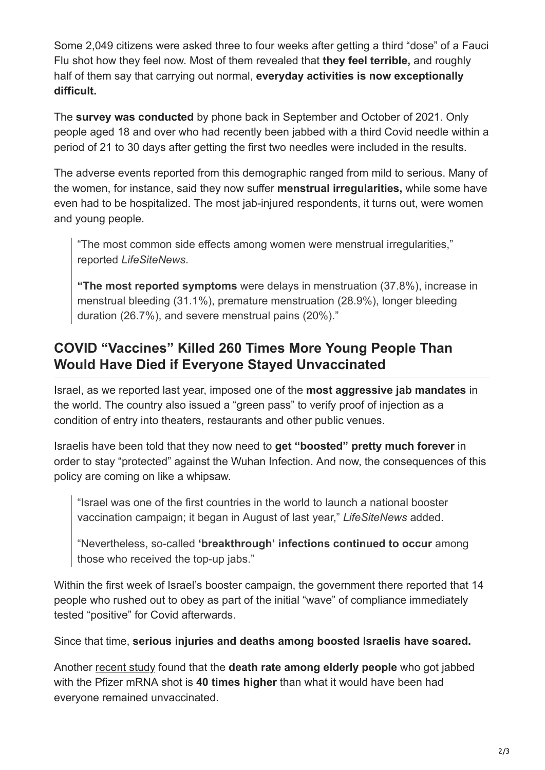Some 2,049 citizens were asked three to four weeks after getting a third "dose" of a Fauci Flu shot how they feel now. Most of them revealed that **they feel terrible,** and roughly half of them say that carrying out normal, **everyday activities is now exceptionally difficult.**

The **survey was conducted** by phone back in September and October of 2021. Only people aged 18 and over who had recently been jabbed with a third Covid needle within a period of 21 to 30 days after getting the first two needles were included in the results.

The adverse events reported from this demographic ranged from mild to serious. Many of the women, for instance, said they now suffer **menstrual irregularities,** while some have even had to be hospitalized. The most jab-injured respondents, it turns out, were women and young people.

"The most common side effects among women were menstrual irregularities," reported *LifeSiteNews*.

**"The most reported symptoms** were delays in menstruation (37.8%), increase in menstrual bleeding (31.1%), premature menstruation (28.9%), longer bleeding duration (26.7%), and severe menstrual pains (20%)."

## **COVID "Vaccines" Killed 260 Times More Young People Than Would Have Died if Everyone Stayed Unvaccinated**

Israel, as [we reported](https://naturalnews.com/2021-12-12-israel-says-covid-booster-shots-endless.html) last year, imposed one of the **most aggressive jab mandates** in the world. The country also issued a "green pass" to verify proof of injection as a condition of entry into theaters, restaurants and other public venues.

Israelis have been told that they now need to **get "boosted" pretty much forever** in order to stay "protected" against the Wuhan Infection. And now, the consequences of this policy are coming on like a whipsaw.

"Israel was one of the first countries in the world to launch a national booster vaccination campaign; it began in August of last year," *LifeSiteNews* added.

"Nevertheless, so-called **'breakthrough' infections continued to occur** among those who received the top-up jabs."

Within the first week of Israel's booster campaign, the government there reported that 14 people who rushed out to obey as part of the initial "wave" of compliance immediately tested "positive" for Covid afterwards.

Since that time, **serious injuries and deaths among boosted Israelis have soared.**

Another [recent study](https://www.lifesitenews.com/news/experimental-vaccine-death-rate-for-israels-elderly-40-times-higher-than-covid-19-deaths-researchers/) found that the **death rate among elderly people** who got jabbed with the Pfizer mRNA shot is **40 times higher** than what it would have been had everyone remained unvaccinated.